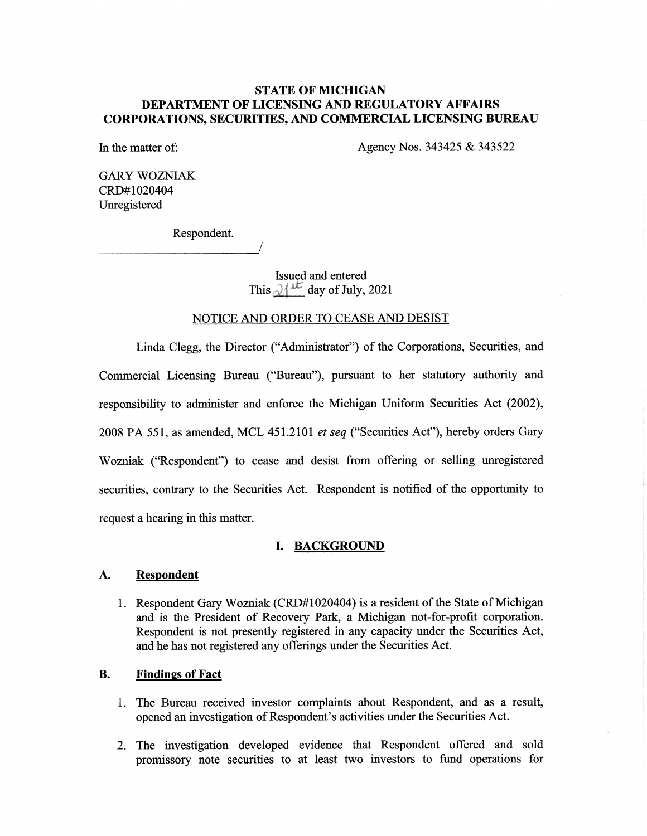# STATE OF MICHIGAN DEPARTMENT OF LICENSING AND REGULATORY AFFAIRS CORPORATIONS, SECURITIES, AND COMMERCIAL LICENSING BUREAU

In the matter of: Agency Nos. 343425 & 343522

GARY WOZNIAK CRD#1020404 Unregistered

Respondent.

Issued and entered This  $\partial f^{\lambda \mathcal{L}}$  day of July, 2021

#### NOTICE AND ORDER TO CEASE AND DESIST

Linda Clegg, the Director ("Administrator") of the Corporations, Securities, and Commercial Licensing Bureau ("Bureau"), pursuant to her statutory authority and responsibility to administer and enforce the Michigan Uniform Securities Act (2002), 2008 PA 551, as amended, MCL 451.2101 et seq ("Securities Act"), hereby orders Gary Wozniak ("Respondent") to cease and desist from offering or selling unregistered securities, contrary to the Securities Act. Respondent is notified of the opportunity to request a hearing in this matter.

#### I. BACKGROUND

#### A. Respondent

1. Respondent Gary Wozniak (CRD#1020404) is a resident of the State of Michigan and is the President of Recovery Park, a Michigan not-for-profit corporation. Respondent is not presently registered in any capacity under the Securities Act, and he has not registered any offerings under the Securities Act.

## B. Findings of Fact

- 1. The Bureau received investor complaints about Respondent, and as a result, opened an investigation of Respondent's activities under the Securities Act.
- 2. The investigation developed evidence that Respondent offered and sold promissory note securities to at least two investors to fund operations for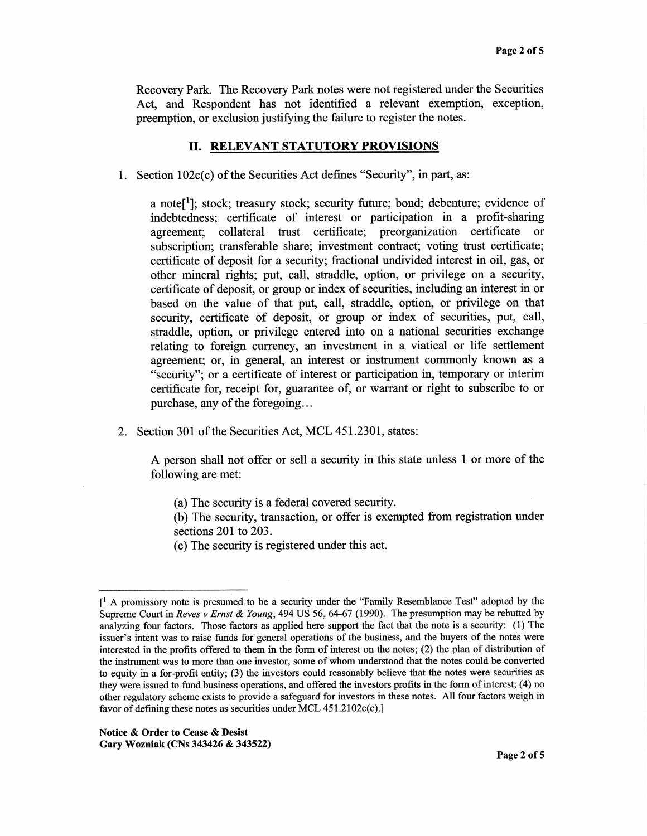Recovery Park. The Recovery Park notes were not registered under the Securities Act, and Respondent has not identified a relevant exemption, exception, preemption, or exclusion justifying the failure to register the notes.

#### II. RELEVANT STATUTORY PROVISIONS

1. Section 102c(c) of the Securities Act defines "Security", in part, as:

a note<sup>[1</sup>]; stock; treasury stock; security future; bond; debenture; evidence of indebtedness; certificate of interest or participation in a profit-sharing agreement; collateral trust certificate; preorganization certificate or subscription; transferable share; investment contract; voting trust certificate; certificate of deposit for a security; fractional undivided interest in oil, gas, or other mineral rights; put, call, straddle, option, or privilege on a security, certificate of deposit, or group or index of securities, including an interest in or based on the value of that put, call, straddle, option, or privilege on that security, certificate of deposit, or group or index of securities, put, call, straddle, option, or privilege entered into on a national securities exchange relating to foreign currency, an investment in a viatical or life settlement agreement; or, in general, an interest or instrument commonly known as a "security"; or a certificate of interest or participation in, temporary or interim certificate for, receipt for, guarantee of, or warrant or right to subscribe to or purchase, any of the foregoing...

2. Section 301 of the Securities Act, MCL 451.2301, states:

A person shall not offer or sell a security in this state unless 1 or more of the following are met:

- (a) The security is a federal covered security.
- (b) The security, transaction, or offer is exempted from registration under sections 201 to 203.
- (c) The security is registered under this act.

 $\mathfrak{f}^1$  A promissory note is presumed to be a security under the "Family Resemblance Test" adopted by the Supreme Court in Reves v Ernst & Young, 494 US 56, 64-67 (1990). The presumption may be rebutted by analyzing four factors. Those factors as applied here support the fact that the note is a security: (1) The issuer's intent was to raise funds for general operations of the business, and the buyers of the notes were interested in the profits offered to them in the form of interest on the notes; (2) the plan of distribution of the instrument was to more than one investor, some of whom understood that the notes could be converted to equity in a for-profit entity; (3) the investors could reasonably believe that the notes were securities as they were issued to fund business operations, and offered the investors profits in the form of interest; (4) no other regulatory scheme exists to provide a safeguard for investors in these notes. All four factors weigh in favor of defining these notes as securities under MCL 451.2102c(c).]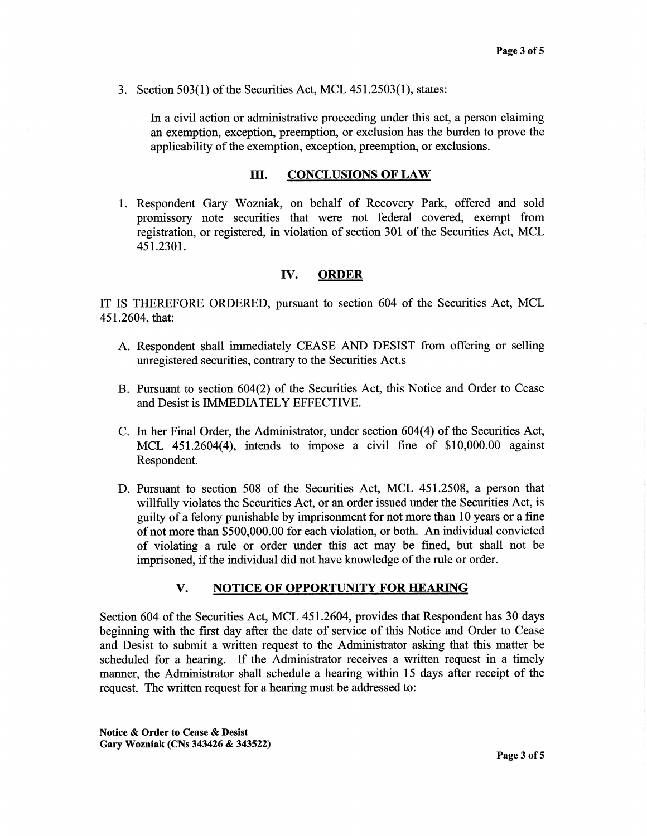3. Section 503(1) of the Securities Act, MCL 451.2503(1), states:

In a civil action or administrative proceeding under this act, a person claiming an exemption, exception, preemption, or exclusion has the burden to prove the applicability of the exemption, exception, preemption, or exclusions.

## III. CONCLUSIONS OF LAW

1. Respondent Gary Wozniak, on behalf of Recovery Park, offered and sold promissory note securities that were not federal covered, exempt from registration, or registered, in violation of section 301 of the Securities Act, MCL 451.2301.

# IV. ORDER

IT IS THEREFORE ORDERED, pursuant to section 604 of the Securities Act, MCL 451.2604, that:

- A. Respondent shall immediately CEASE AND DESIST from offering or selling unregistered securities, contrary to the Securities Act.s
- B. Pursuant to section 604(2) of the Securities Act, this Notice and Order to Cease and Desist is IMMEDIATELY EFFECTIVE.
- C. In her Final Order, the Administrator, under section 604(4) of the Securities Act, MCL 451.2604(4), intends to impose a civil fine of \$10,000.00 against Respondent.
- D. Pursuant to section 508 of the Securities Act, MCL 451.2508, a person that willfully violates the Securities Act, or an order issued under the Securities Act, is guilty of a felony punishable by imprisonment for not more than 10 years or a fine of not more than \$500,000.00 for each violation, or both. An individual convicted of violating a rule or order under this act may be fined, but shall not be imprisoned, if the individual did not have knowledge of the rule or order.

## V. NOTICE OF OPPORTUNITY FOR HEARING

Section 604 of the Securities Act, MCL 451.2604, provides that Respondent has 30 days beginning with the first day after the date of service of this Notice and Order to Cease and Desist to submit a written request to the Administrator asking that this matter be scheduled for a hearing. If the Administrator receives a written request in a timely manner, the Administrator shall schedule a hearing within 15 days after receipt of the request. The written request for a hearing must be addressed to: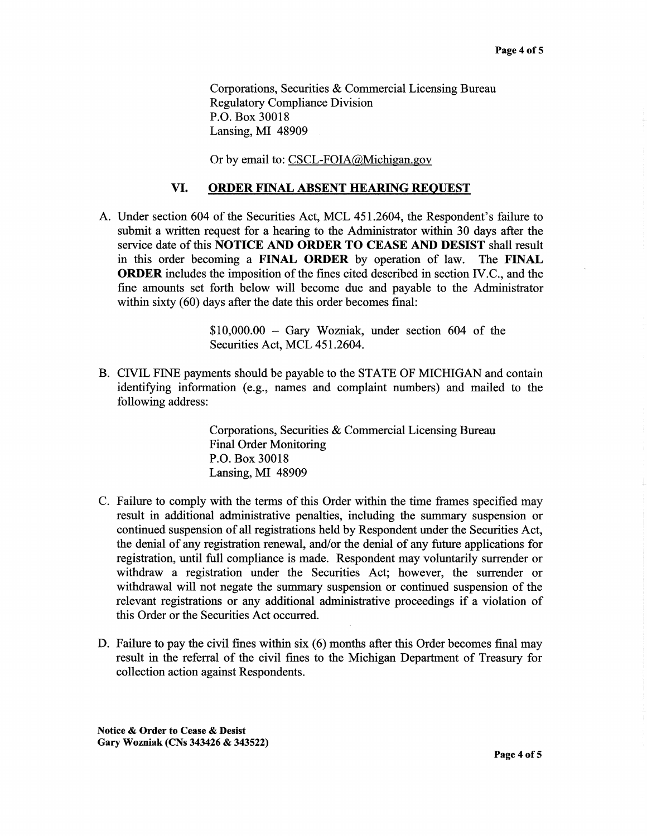Corporations, Securities & Commercial Licensing Bureau Regulatory Compliance Division P.O. Box 30018 Lansing, MI 48909

Or by email to: CSCL-FOIA@Michigan.gov

## VI. ORDER FINAL ABSENT HEARING REQUEST

A. Under section 604 of the Securities Act, MCL 451.2604, the Respondent's failure to submit a written request for a hearing to the Administrator within 30 days after the service date of this NOTICE AND ORDER TO CEASE AND DESIST shall result in this order becoming a FINAL ORDER by operation of law. The FINAL ORDER includes the imposition of the fines cited described in section IV.C., and the fine amounts set forth below will become due and payable to the Administrator within sixty (60) days after the date this order becomes final:

> \$10,000.00 — Gary Wozniak, under section 604 of the Securities Act, MCL 451.2604.

B. CIVIL FINE payments should be payable to the STATE OF MICHIGAN and contain identifying information (e.g., names and complaint numbers) and mailed to the following address:

> Corporations, Securities & Commercial Licensing Bureau Final Order Monitoring P.O. Box 30018 Lansing, MI 48909

- C. Failure to comply with the terms of this Order within the time frames specified may result in additional administrative penalties, including the summary suspension or continued suspension of all registrations held by Respondent under the Securities Act, the denial of any registration renewal, and/or the denial of any future applications for registration, until full compliance is made. Respondent may voluntarily surrender or withdraw a registration under the Securities Act; however, the surrender or withdrawal will not negate the summary suspension or continued suspension of the relevant registrations or any additional administrative proceedings if a violation of this Order or the Securities Act occurred.
- D. Failure to pay the civil fines within six (6) months after this Order becomes final may result in the referral of the civil fines to the Michigan Department of Treasury for collection action against Respondents.

Notice & Order to Cease & Desist Gary Wozniak (CNs 343426 & 343522)